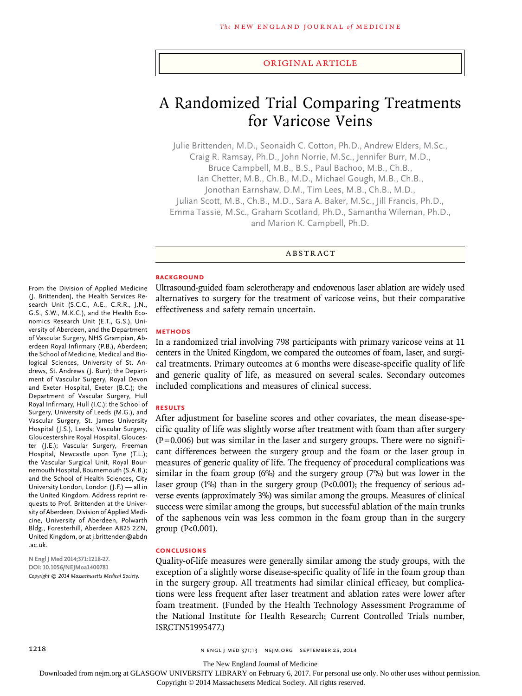#### Original Article

# A Randomized Trial Comparing Treatments for Varicose Veins

Julie Brittenden, M.D., Seonaidh C. Cotton, Ph.D., Andrew Elders, M.Sc., Craig R. Ramsay, Ph.D., John Norrie, M.Sc., Jennifer Burr, M.D., Bruce Campbell, M.B., B.S., Paul Bachoo, M.B., Ch.B., Ian Chetter, M.B., Ch.B., M.D., Michael Gough, M.B., Ch.B., Jonothan Earnshaw, D.M., Tim Lees, M.B., Ch.B., M.D., Julian Scott, M.B., Ch.B., M.D., Sara A. Baker, M.Sc., Jill Francis, Ph.D., Emma Tassie, M.Sc., Graham Scotland, Ph.D., Samantha Wileman, Ph.D., and Marion K. Campbell, Ph.D.

ABSTRACT

#### **BACKGROUND**

Ultrasound-guided foam sclerotherapy and endovenous laser ablation are widely used alternatives to surgery for the treatment of varicose veins, but their comparative effectiveness and safety remain uncertain.

#### **METHODS**

In a randomized trial involving 798 participants with primary varicose veins at 11 centers in the United Kingdom, we compared the outcomes of foam, laser, and surgical treatments. Primary outcomes at 6 months were disease-specific quality of life and generic quality of life, as measured on several scales. Secondary outcomes included complications and measures of clinical success.

#### **RESULTS**

After adjustment for baseline scores and other covariates, the mean disease-specific quality of life was slightly worse after treatment with foam than after surgery  $(P=0.006)$  but was similar in the laser and surgery groups. There were no significant differences between the surgery group and the foam or the laser group in measures of generic quality of life. The frequency of procedural complications was similar in the foam group (6%) and the surgery group (7%) but was lower in the laser group (1%) than in the surgery group (P<0.001); the frequency of serious adverse events (approximately 3%) was similar among the groups. Measures of clinical success were similar among the groups, but successful ablation of the main trunks of the saphenous vein was less common in the foam group than in the surgery group (P<0.001).

#### **CONCLUSIONS**

Quality-of-life measures were generally similar among the study groups, with the exception of a slightly worse disease-specific quality of life in the foam group than in the surgery group. All treatments had similar clinical efficacy, but complications were less frequent after laser treatment and ablation rates were lower after foam treatment. (Funded by the Health Technology Assessment Programme of the National Institute for Health Research; Current Controlled Trials number, ISRCTN51995477.)

#### (J. Brittenden), the Health Services Research Unit (S.C.C., A.E., C.R.R., J.N., G.S., S.W., M.K.C.), and the Health Economics Research Unit (E.T., G.S.), University of Aberdeen, and the Department of Vascular Surgery, NHS Grampian, Aberdeen Royal Infirmary (P.B.), Aberdeen; the School of Medicine, Medical and Biological Sciences, University of St. Andrews, St. Andrews (J. Burr); the Department of Vascular Surgery, Royal Devon and Exeter Hospital, Exeter (B.C.); the Department of Vascular Surgery, Hull Royal Infirmary, Hull (I.C.); the School of Surgery, University of Leeds (M.G.), and Vascular Surgery, St. James University Hospital (J.S.), Leeds; Vascular Surgery, Gloucestershire Royal Hospital, Gloucester (J.E.); Vascular Surgery, Freeman Hospital, Newcastle upon Tyne (T.L.); the Vascular Surgical Unit, Royal Bournemouth Hospital, Bournemouth (S.A.B.); and the School of Health Sciences, City University London, London (J.F.) — all in the United Kingdom. Address reprint requests to Prof. Brittenden at the University of Aberdeen, Division of Applied Medicine, University of Aberdeen, Polwarth Bldg., Foresterhill, Aberdeen AB25 2ZN, United Kingdom, or at j.brittenden@abdn .ac.uk.

From the Division of Applied Medicine

**N Engl J Med 2014;371:1218-27. DOI: 10.1056/NEJMoa1400781** *Copyright © 2014 Massachusetts Medical Society.*

The New England Journal of Medicine

Downloaded from nejm.org at GLASGOW UNIVERSITY LIBRARY on February 6, 2017. For personal use only. No other uses without permission.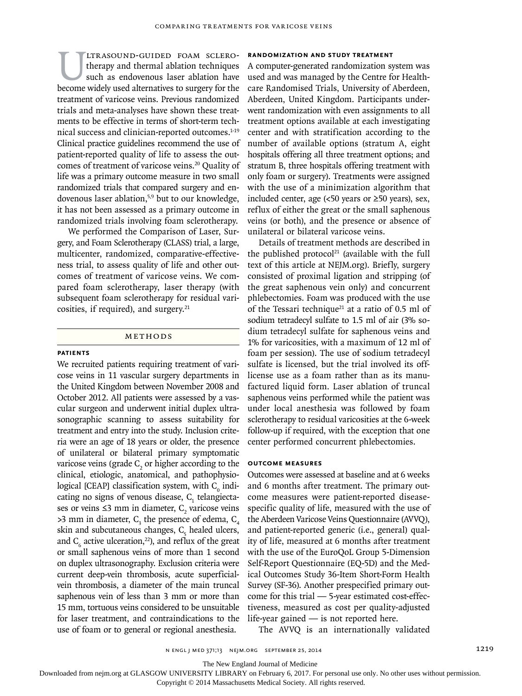ULTRASOUND-GUIDED FOAM SCLERO-<br>therapy and thermal ablation techniques<br>such as endovenous laser ablation have<br>become widely used alternatives to surgery for the therapy and thermal ablation techniques such as endovenous laser ablation have become widely used alternatives to surgery for the treatment of varicose veins. Previous randomized trials and meta-analyses have shown these treatments to be effective in terms of short-term technical success and clinician-reported outcomes.<sup>1-19</sup> Clinical practice guidelines recommend the use of patient-reported quality of life to assess the outcomes of treatment of varicose veins.<sup>20</sup> Quality of life was a primary outcome measure in two small randomized trials that compared surgery and endovenous laser ablation,<sup>5,9</sup> but to our knowledge, it has not been assessed as a primary outcome in randomized trials involving foam sclerotherapy.

We performed the Comparison of Laser, Surgery, and Foam Sclerotherapy (CLASS) trial, a large, multicenter, randomized, comparative-effectiveness trial, to assess quality of life and other outcomes of treatment of varicose veins. We compared foam sclerotherapy, laser therapy (with subsequent foam sclerotherapy for residual varicosities, if required), and surgery. $21$ 

#### Methods

#### **Patients**

We recruited patients requiring treatment of varicose veins in 11 vascular surgery departments in the United Kingdom between November 2008 and October 2012. All patients were assessed by a vascular surgeon and underwent initial duplex ultrasonographic scanning to assess suitability for treatment and entry into the study. Inclusion criteria were an age of 18 years or older, the presence of unilateral or bilateral primary symptomatic varicose veins (grade  $C_2$  or higher according to the clinical, etiologic, anatomical, and pathophysiological [CEAP] classification system, with  $C_{0}$  indicating no signs of venous disease,  $C<sub>1</sub>$  telangiectases or veins  $\leq$ 3 mm in diameter, C<sub>2</sub> varicose veins  $>3$  mm in diameter,  $C_3$  the presence of edema,  $C_4$ skin and subcutaneous changes,  $C_{5}$  healed ulcers, and  $C_6$  active ulceration,<sup>22</sup>), and reflux of the great or small saphenous veins of more than 1 second on duplex ultrasonography. Exclusion criteria were current deep-vein thrombosis, acute superficialvein thrombosis, a diameter of the main truncal saphenous vein of less than 3 mm or more than 15 mm, tortuous veins considered to be unsuitable for laser treatment, and contraindications to the use of foam or to general or regional anesthesia.

#### **Randomization and Study Treatment**

A computer-generated randomization system was used and was managed by the Centre for Healthcare Randomised Trials, University of Aberdeen, Aberdeen, United Kingdom. Participants underwent randomization with even assignments to all treatment options available at each investigating center and with stratification according to the number of available options (stratum A, eight hospitals offering all three treatment options; and stratum B, three hospitals offering treatment with only foam or surgery). Treatments were assigned with the use of a minimization algorithm that included center, age  $(50 \text{ years or } 250 \text{ years}),$  sex, reflux of either the great or the small saphenous veins (or both), and the presence or absence of unilateral or bilateral varicose veins.

Details of treatment methods are described in the published protocol<sup>21</sup> (available with the full text of this article at NEJM.org). Briefly, surgery consisted of proximal ligation and stripping (of the great saphenous vein only) and concurrent phlebectomies. Foam was produced with the use of the Tessari technique<sup>21</sup> at a ratio of 0.5 ml of sodium tetradecyl sulfate to 1.5 ml of air (3% sodium tetradecyl sulfate for saphenous veins and 1% for varicosities, with a maximum of 12 ml of foam per session). The use of sodium tetradecyl sulfate is licensed, but the trial involved its offlicense use as a foam rather than as its manufactured liquid form. Laser ablation of truncal saphenous veins performed while the patient was under local anesthesia was followed by foam sclerotherapy to residual varicosities at the 6-week follow-up if required, with the exception that one center performed concurrent phlebectomies.

#### **Outcome Measures**

Outcomes were assessed at baseline and at 6 weeks and 6 months after treatment. The primary outcome measures were patient-reported diseasespecific quality of life, measured with the use of the Aberdeen Varicose Veins Questionnaire (AVVQ), and patient-reported generic (i.e., general) quality of life, measured at 6 months after treatment with the use of the EuroQoL Group 5-Dimension Self-Report Questionnaire (EQ-5D) and the Medical Outcomes Study 36-Item Short-Form Health Survey (SF-36). Another prespecified primary outcome for this trial — 5-year estimated cost-effectiveness, measured as cost per quality-adjusted life-year gained — is not reported here.

The AVVQ is an internationally validated

The New England Journal of Medicine

Downloaded from nejm.org at GLASGOW UNIVERSITY LIBRARY on February 6, 2017. For personal use only. No other uses without permission.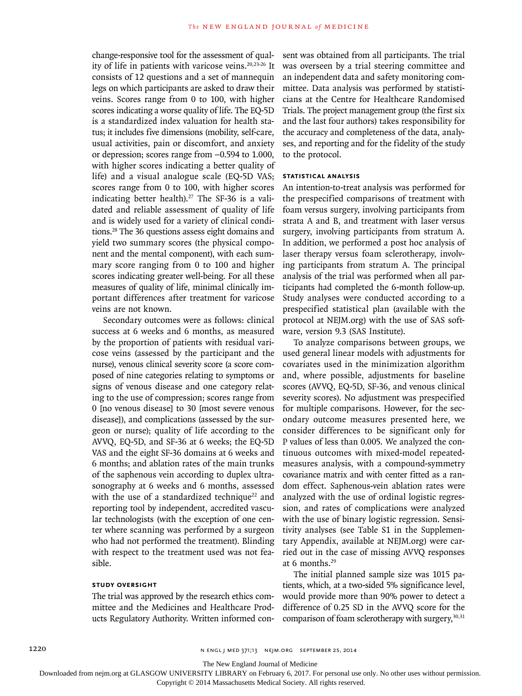change-responsive tool for the assessment of quality of life in patients with varicose veins.<sup>20,23-26</sup> It consists of 12 questions and a set of mannequin legs on which participants are asked to draw their veins. Scores range from 0 to 100, with higher scores indicating a worse quality of life. The EQ-5D is a standardized index valuation for health status; it includes five dimensions (mobility, self-care, usual activities, pain or discomfort, and anxiety or depression; scores range from −0.594 to 1.000, with higher scores indicating a better quality of life) and a visual analogue scale (EQ-5D VAS; scores range from 0 to 100, with higher scores indicating better health).<sup>27</sup> The SF-36 is a validated and reliable assessment of quality of life and is widely used for a variety of clinical conditions.28 The 36 questions assess eight domains and yield two summary scores (the physical component and the mental component), with each summary score ranging from 0 to 100 and higher scores indicating greater well-being. For all these measures of quality of life, minimal clinically important differences after treatment for varicose veins are not known.

Secondary outcomes were as follows: clinical success at 6 weeks and 6 months, as measured by the proportion of patients with residual varicose veins (assessed by the participant and the nurse), venous clinical severity score (a score composed of nine categories relating to symptoms or signs of venous disease and one category relating to the use of compression; scores range from 0 [no venous disease] to 30 [most severe venous disease]), and complications (assessed by the surgeon or nurse); quality of life according to the AVVQ, EQ-5D, and SF-36 at 6 weeks; the EQ-5D VAS and the eight SF-36 domains at 6 weeks and 6 months; and ablation rates of the main trunks of the saphenous vein according to duplex ultrasonography at 6 weeks and 6 months, assessed with the use of a standardized technique<sup>22</sup> and reporting tool by independent, accredited vascular technologists (with the exception of one center where scanning was performed by a surgeon who had not performed the treatment). Blinding with respect to the treatment used was not feasible.

### **Study Oversight**

The trial was approved by the research ethics committee and the Medicines and Healthcare Products Regulatory Authority. Written informed consent was obtained from all participants. The trial was overseen by a trial steering committee and an independent data and safety monitoring committee. Data analysis was performed by statisticians at the Centre for Healthcare Randomised Trials. The project management group (the first six and the last four authors) takes responsibility for the accuracy and completeness of the data, analyses, and reporting and for the fidelity of the study to the protocol.

#### **Statistical Analysis**

An intention-to-treat analysis was performed for the prespecified comparisons of treatment with foam versus surgery, involving participants from strata A and B, and treatment with laser versus surgery, involving participants from stratum A. In addition, we performed a post hoc analysis of laser therapy versus foam sclerotherapy, involving participants from stratum A. The principal analysis of the trial was performed when all participants had completed the 6-month follow-up. Study analyses were conducted according to a prespecified statistical plan (available with the protocol at NEJM.org) with the use of SAS software, version 9.3 (SAS Institute).

To analyze comparisons between groups, we used general linear models with adjustments for covariates used in the minimization algorithm and, where possible, adjustments for baseline scores (AVVQ, EQ-5D, SF-36, and venous clinical severity scores). No adjustment was prespecified for multiple comparisons. However, for the secondary outcome measures presented here, we consider differences to be significant only for P values of less than 0.005. We analyzed the continuous outcomes with mixed-model repeatedmeasures analysis, with a compound-symmetry covariance matrix and with center fitted as a random effect. Saphenous-vein ablation rates were analyzed with the use of ordinal logistic regression, and rates of complications were analyzed with the use of binary logistic regression. Sensitivity analyses (see Table S1 in the Supplementary Appendix, available at NEJM.org) were carried out in the case of missing AVVQ responses at 6 months.29

The initial planned sample size was 1015 patients, which, at a two-sided 5% significance level, would provide more than 90% power to detect a difference of 0.25 SD in the AVVQ score for the comparison of foam sclerotherapy with surgery,  $30,31$ 

The New England Journal of Medicine

Downloaded from nejm.org at GLASGOW UNIVERSITY LIBRARY on February 6, 2017. For personal use only. No other uses without permission.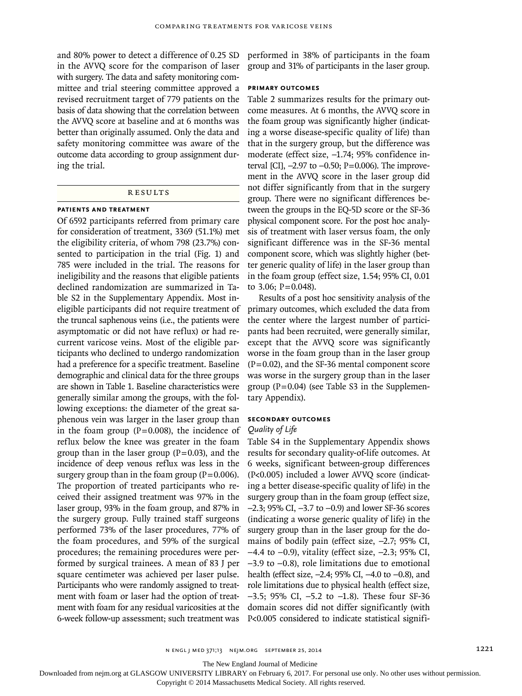and 80% power to detect a difference of 0.25 SD in the AVVQ score for the comparison of laser with surgery. The data and safety monitoring committee and trial steering committee approved a revised recruitment target of 779 patients on the basis of data showing that the correlation between the AVVQ score at baseline and at 6 months was better than originally assumed. Only the data and safety monitoring committee was aware of the outcome data according to group assignment during the trial.

## **RESULTS**

### **Patients and Treatment**

Of 6592 participants referred from primary care for consideration of treatment, 3369 (51.1%) met the eligibility criteria, of whom 798 (23.7%) consented to participation in the trial (Fig. 1) and 785 were included in the trial. The reasons for ineligibility and the reasons that eligible patients declined randomization are summarized in Table S2 in the Supplementary Appendix. Most ineligible participants did not require treatment of the truncal saphenous veins (i.e., the patients were asymptomatic or did not have reflux) or had recurrent varicose veins. Most of the eligible participants who declined to undergo randomization had a preference for a specific treatment. Baseline demographic and clinical data for the three groups are shown in Table 1. Baseline characteristics were generally similar among the groups, with the following exceptions: the diameter of the great saphenous vein was larger in the laser group than in the foam group  $(P=0.008)$ , the incidence of reflux below the knee was greater in the foam group than in the laser group  $(P=0.03)$ , and the incidence of deep venous reflux was less in the surgery group than in the foam group  $(P=0.006)$ . The proportion of treated participants who received their assigned treatment was 97% in the laser group, 93% in the foam group, and 87% in the surgery group. Fully trained staff surgeons performed 73% of the laser procedures, 77% of the foam procedures, and 59% of the surgical procedures; the remaining procedures were performed by surgical trainees. A mean of 83 J per square centimeter was achieved per laser pulse. Participants who were randomly assigned to treatment with foam or laser had the option of treatment with foam for any residual varicosities at the 6-week follow-up assessment; such treatment was

performed in 38% of participants in the foam group and 31% of participants in the laser group.

#### **Primary Outcomes**

Table 2 summarizes results for the primary outcome measures. At 6 months, the AVVQ score in the foam group was significantly higher (indicating a worse disease-specific quality of life) than that in the surgery group, but the difference was moderate (effect size, −1.74; 95% confidence interval [CI], −2.97 to −0.50; P=0.006). The improvement in the AVVQ score in the laser group did not differ significantly from that in the surgery group. There were no significant differences between the groups in the EQ-5D score or the SF-36 physical component score. For the post hoc analysis of treatment with laser versus foam, the only significant difference was in the SF-36 mental component score, which was slightly higher (better generic quality of life) in the laser group than in the foam group (effect size, 1.54; 95% CI, 0.01 to 3.06;  $P = 0.048$ ).

Results of a post hoc sensitivity analysis of the primary outcomes, which excluded the data from the center where the largest number of participants had been recruited, were generally similar, except that the AVVQ score was significantly worse in the foam group than in the laser group  $(P=0.02)$ , and the SF-36 mental component score was worse in the surgery group than in the laser group  $(P=0.04)$  (see Table S3 in the Supplementary Appendix).

# **Secondary Outcomes**

# *Quality of Life*

Table S4 in the Supplementary Appendix shows results for secondary quality-of-life outcomes. At 6 weeks, significant between-group differences (P<0.005) included a lower AVVQ score (indicating a better disease-specific quality of life) in the surgery group than in the foam group (effect size, −2.3; 95% CI, −3.7 to −0.9) and lower SF-36 scores (indicating a worse generic quality of life) in the surgery group than in the laser group for the domains of bodily pain (effect size, −2.7; 95% CI, −4.4 to −0.9), vitality (effect size, −2.3; 95% CI, −3.9 to −0.8), role limitations due to emotional health (effect size, −2.4; 95% CI, −4.0 to −0.8), and role limitations due to physical health (effect size, −3.5; 95% CI, −5.2 to −1.8). These four SF-36 domain scores did not differ significantly (with P<0.005 considered to indicate statistical signifi-

The New England Journal of Medicine

Downloaded from nejm.org at GLASGOW UNIVERSITY LIBRARY on February 6, 2017. For personal use only. No other uses without permission.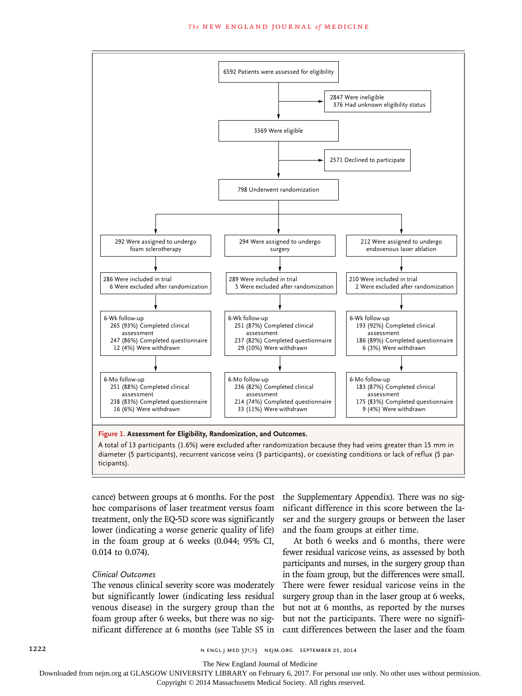

diameter (5 participants), recurrent varicose veins (3 participants), or coexisting conditions or lack of reflux (5 participants).

hoc comparisons of laser treatment versus foam treatment, only the EQ-5D score was significantly lower (indicating a worse generic quality of life) in the foam group at 6 weeks (0.044; 95% CI, 0.014 to 0.074).

# *Clinical Outcomes*

The venous clinical severity score was moderately but significantly lower (indicating less residual venous disease) in the surgery group than the foam group after 6 weeks, but there was no significant difference at 6 months (see Table S5 in

cance) between groups at 6 months. For the post the Supplementary Appendix). There was no significant difference in this score between the laser and the surgery groups or between the laser and the foam groups at either time.

> At both 6 weeks and 6 months, there were fewer residual varicose veins, as assessed by both participants and nurses, in the surgery group than in the foam group, but the differences were small. There were fewer residual varicose veins in the surgery group than in the laser group at 6 weeks, but not at 6 months, as reported by the nurses but not the participants. There were no significant differences between the laser and the foam

The New England Journal of Medicine

Downloaded from nejm.org at GLASGOW UNIVERSITY LIBRARY on February 6, 2017. For personal use only. No other uses without permission.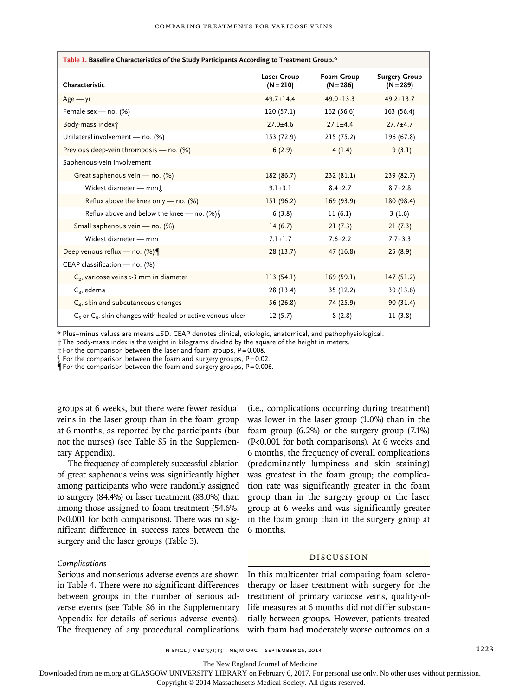| Table 1. Baseline Characteristics of the Study Participants According to Treatment Group.* |                                   |                           |                                     |  |  |
|--------------------------------------------------------------------------------------------|-----------------------------------|---------------------------|-------------------------------------|--|--|
| Characteristic                                                                             | <b>Laser Group</b><br>$(N = 210)$ | Foam Group<br>$(N = 286)$ | <b>Surgery Group</b><br>$(N = 289)$ |  |  |
| $Age - yr$                                                                                 | $49.7 \pm 14.4$                   | $49.0 \pm 13.3$           | $49.2 \pm 13.7$                     |  |  |
| Female sex — no. $(%)$                                                                     | 120(57.1)                         | 162(56.6)                 | 163 (56.4)                          |  |  |
| Body-mass indext                                                                           | $27.0 + 4.6$                      | $27.1 + 4.4$              | $27.7 + 4.7$                        |  |  |
| Unilateral involvement - no. (%)                                                           | 153 (72.9)                        | 215(75.2)                 | 196 (67.8)                          |  |  |
| Previous deep-vein thrombosis - no. (%)                                                    | 6(2.9)                            | 4(1.4)                    | 9(3.1)                              |  |  |
| Saphenous-vein involvement                                                                 |                                   |                           |                                     |  |  |
| Great saphenous vein - no. (%)                                                             | 182 (86.7)                        | 232(81.1)                 | 239 (82.7)                          |  |  |
| Widest diameter - mm <sup>*</sup>                                                          | $9.1 \pm 3.1$                     | $8.4 \pm 2.7$             | $8.7 \pm 2.8$                       |  |  |
| Reflux above the knee only — no. $(\%)$                                                    | 151(96.2)                         | 169(93.9)                 | 180 (98.4)                          |  |  |
| Reflux above and below the knee - no. $(\%)$                                               | 6(3.8)                            | 11(6.1)                   | 3(1.6)                              |  |  |
| Small saphenous vein - no. (%)                                                             | 14(6.7)                           | 21(7.3)                   | 21(7.3)                             |  |  |
| Widest diameter - mm                                                                       | $7.1 \pm 1.7$                     | $7.6 \pm 2.2$             | $7.7 \pm 3.3$                       |  |  |
| Deep venous reflux — no. $(\%)$                                                            | 28(13.7)                          | 47(16.8)                  | 25(8.9)                             |  |  |
| CEAP classification - no. (%)                                                              |                                   |                           |                                     |  |  |
| C <sub>2</sub> , varicose veins > 3 mm in diameter                                         | 113(54.1)                         | 169(59.1)                 | 147(51.2)                           |  |  |
| $C_3$ , edema                                                                              | 28(13.4)                          | 35(12.2)                  | 39 (13.6)                           |  |  |
| C <sub>4</sub> , skin and subcutaneous changes                                             | 56 (26.8)                         | 74 (25.9)                 | 90(31.4)                            |  |  |
| $C_5$ or $C_6$ , skin changes with healed or active venous ulcer                           | 12(5.7)                           | 8(2.8)                    | 11(3.8)                             |  |  |

\* Plus–minus values are means ±SD. CEAP denotes clinical, etiologic, anatomical, and pathophysiological.

† The body-mass index is the weight in kilograms divided by the square of the height in meters.

‡ For the comparison between the laser and foam groups, P=0.008.

 $\int$  For the comparison between the foam and surgery groups, P=0.02.

 $\P$  For the comparison between the foam and surgery groups, P=0.006.

groups at 6 weeks, but there were fewer residual veins in the laser group than in the foam group at 6 months, as reported by the participants (but not the nurses) (see Table S5 in the Supplementary Appendix).

The frequency of completely successful ablation of great saphenous veins was significantly higher among participants who were randomly assigned to surgery (84.4%) or laser treatment (83.0%) than among those assigned to foam treatment (54.6%, P<0.001 for both comparisons). There was no significant difference in success rates between the surgery and the laser groups (Table 3).

#### *Complications*

Serious and nonserious adverse events are shown in Table 4. There were no significant differences between groups in the number of serious adverse events (see Table S6 in the Supplementary Appendix for details of serious adverse events). The frequency of any procedural complications

(i.e., complications occurring during treatment) was lower in the laser group (1.0%) than in the foam group (6.2%) or the surgery group (7.1%) (P<0.001 for both comparisons). At 6 weeks and 6 months, the frequency of overall complications (predominantly lumpiness and skin staining) was greatest in the foam group; the complication rate was significantly greater in the foam group than in the surgery group or the laser group at 6 weeks and was significantly greater in the foam group than in the surgery group at 6 months.

#### Discussion

In this multicenter trial comparing foam sclerotherapy or laser treatment with surgery for the treatment of primary varicose veins, quality-oflife measures at 6 months did not differ substantially between groups. However, patients treated with foam had moderately worse outcomes on a

The New England Journal of Medicine

Downloaded from nejm.org at GLASGOW UNIVERSITY LIBRARY on February 6, 2017. For personal use only. No other uses without permission.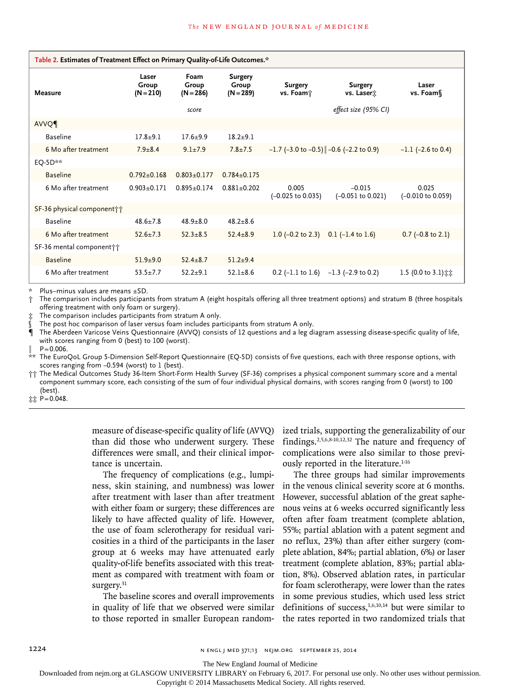| Table 2. Estimates of Treatment Effect on Primary Quality-of-Life Outcomes.* |                               |                              |                                        |                                          |                                                            |                                       |
|------------------------------------------------------------------------------|-------------------------------|------------------------------|----------------------------------------|------------------------------------------|------------------------------------------------------------|---------------------------------------|
| Measure                                                                      | Laser<br>Group<br>$(N = 210)$ | Foam<br>Group<br>$(N = 286)$ | <b>Surgery</b><br>Group<br>$(N = 289)$ | <b>Surgery</b><br>vs. Foam;              | <b>Surgery</b><br>vs. Laser <sup>*</sup>                   | Laser<br>vs. Foam f                   |
|                                                                              |                               | score                        |                                        |                                          | effect size (95% CI)                                       |                                       |
| AVVQ                                                                         |                               |                              |                                        |                                          |                                                            |                                       |
| <b>Baseline</b>                                                              | $17.8 + 9.1$                  | $17.6 + 9.9$                 | $18.2 + 9.1$                           |                                          |                                                            |                                       |
| 6 Mo after treatment                                                         | $7.9 + 8.4$                   | $9.1 \pm 7.9$                | $7.8 \pm 7.5$                          | $-1.7$ (-3.0 to -0.5) -0.6 (-2.2 to 0.9) |                                                            | $-1.1$ ( $-2.6$ to 0.4)               |
| EO-5D**                                                                      |                               |                              |                                        |                                          |                                                            |                                       |
| <b>Baseline</b>                                                              | $0.792 + 0.168$               | $0.803 + 0.177$              | $0.784 + 0.175$                        |                                          |                                                            |                                       |
| 6 Mo after treatment                                                         | $0.903 + 0.171$               | $0.895 + 0.174$              | $0.881 + 0.202$                        | 0.005<br>$(-0.025$ to $0.035)$           | $-0.015$<br>$(-0.051$ to $0.021)$                          | 0.025<br>$(-0.010 \text{ to } 0.059)$ |
| SF-36 physical component††                                                   |                               |                              |                                        |                                          |                                                            |                                       |
| <b>Baseline</b>                                                              | $48.6 + 7.8$                  | $48.9 + 8.0$                 | $48.2 + 8.6$                           |                                          |                                                            |                                       |
| 6 Mo after treatment                                                         | $52.6 + 7.3$                  | $52.3 + 8.5$                 | $52.4 \pm 8.9$                         | $1.0$ (-0.2 to 2.3)                      | $0.1$ (-1.4 to 1.6)                                        | $0.7$ (-0.8 to 2.1)                   |
| SF-36 mental component † †                                                   |                               |                              |                                        |                                          |                                                            |                                       |
| <b>Baseline</b>                                                              | $51.9 + 9.0$                  | $52.4 + 8.7$                 | $51.2 + 9.4$                           |                                          |                                                            |                                       |
| 6 Mo after treatment                                                         | $53.5 + 7.7$                  | $52.2 + 9.1$                 | $52.1 \pm 8.6$                         |                                          | 0.2 $(-1.1 \text{ to } 1.6)$ -1.3 $(-2.9 \text{ to } 0.2)$ | 1.5 (0.0 to 3.1) $\ddagger \ddagger$  |

Plus–minus values are means  $\pm$ SD.

† The comparison includes participants from stratum A (eight hospitals offering all three treatment options) and stratum B (three hospitals offering treatment with only foam or surgery).

The comparison includes participants from stratum A only.

The post hoc comparison of laser versus foam includes participants from stratum A only.

¶ The Aberdeen Varicose Veins Questionnaire (AVVQ) consists of 12 questions and a leg diagram assessing disease-specific quality of life, with scores ranging from 0 (best) to 100 (worst).

 $P = 0.006$ .

The EuroQoL Group 5-Dimension Self-Report Questionnaire (EQ-5D) consists of five questions, each with three response options, with scores ranging from −0.594 (worst) to 1 (best).

†† The Medical Outcomes Study 36-Item Short-Form Health Survey (SF-36) comprises a physical component summary score and a mental component summary score, each consisting of the sum of four individual physical domains, with scores ranging from 0 (worst) to 100 (best).

‡‡ P=0.048.

measure of disease-specific quality of life (AVVQ) than did those who underwent surgery. These differences were small, and their clinical importance is uncertain.

The frequency of complications (e.g., lumpiness, skin staining, and numbness) was lower after treatment with laser than after treatment with either foam or surgery; these differences are likely to have affected quality of life. However, the use of foam sclerotherapy for residual varicosities in a third of the participants in the laser group at 6 weeks may have attenuated early quality-of-life benefits associated with this treatment as compared with treatment with foam or surgery.<sup>31</sup>

The baseline scores and overall improvements in quality of life that we observed were similar to those reported in smaller European randomized trials, supporting the generalizability of our findings.2,5,6,8-10,12,32 The nature and frequency of complications were also similar to those previously reported in the literature.<sup>1-16</sup>

The three groups had similar improvements in the venous clinical severity score at 6 months. However, successful ablation of the great saphenous veins at 6 weeks occurred significantly less often after foam treatment (complete ablation, 55%; partial ablation with a patent segment and no reflux, 23%) than after either surgery (complete ablation, 84%; partial ablation, 6%) or laser treatment (complete ablation, 83%; partial ablation, 8%). Observed ablation rates, in particular for foam sclerotherapy, were lower than the rates in some previous studies, which used less strict definitions of success, $1,6,10,14$  but were similar to the rates reported in two randomized trials that

The New England Journal of Medicine

Downloaded from nejm.org at GLASGOW UNIVERSITY LIBRARY on February 6, 2017. For personal use only. No other uses without permission.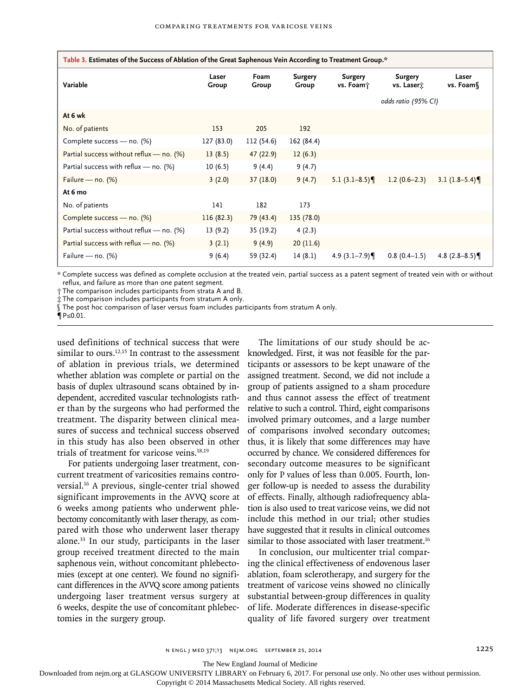| *.Table 3. Estimates of the Success of Ablation of the Great Saphenous Vein According to Treatment Group |                |               |                         |                             |                              |                   |
|----------------------------------------------------------------------------------------------------------|----------------|---------------|-------------------------|-----------------------------|------------------------------|-------------------|
| Variable                                                                                                 | Laser<br>Group | Foam<br>Group | <b>Surgery</b><br>Group | <b>Surgery</b><br>vs. Foam; | <b>Surgery</b><br>vs. Laserx | Laser<br>vs. Foam |
|                                                                                                          |                |               |                         |                             | odds ratio (95% CI)          |                   |
| At 6 wk                                                                                                  |                |               |                         |                             |                              |                   |
| No. of patients                                                                                          | 153            | 205           | 192                     |                             |                              |                   |
| Complete success - no. (%)                                                                               | 127 (83.0)     | 112 (54.6)    | 162 (84.4)              |                             |                              |                   |
| Partial success without reflux $-$ no. (%)                                                               | 13(8.5)        | 47 (22.9)     | 12(6.3)                 |                             |                              |                   |
| Partial success with reflux $-$ no. (%)                                                                  | 10(6.5)        | 9(4.4)        | 9(4.7)                  |                             |                              |                   |
| Failure — no. $(\%)$                                                                                     | 3(2.0)         | 37(18.0)      | 9(4.7)                  | 5.1 $(3.1-8.5)$             | $1.2(0.6-2.3)$               | 3.1 $(1.8-5.4)$   |
| At 6 mo                                                                                                  |                |               |                         |                             |                              |                   |
| No. of patients                                                                                          | 141            | 182           | 173                     |                             |                              |                   |
| Complete success - no. (%)                                                                               | 116(82.3)      | 79 (43.4)     | 135 (78.0)              |                             |                              |                   |
| Partial success without reflux $-$ no. (%)                                                               | 13(9.2)        | 35 (19.2)     | 4(2.3)                  |                             |                              |                   |
| Partial success with reflux $-$ no. (%)                                                                  | 3(2.1)         | 9(4.9)        | 20(11.6)                |                             |                              |                   |
| Failure — no. $(\%)$                                                                                     | 9(6.4)         | 59 (32.4)     | 14(8.1)                 | 4.9 $(3.1 - 7.9)$           | $0.8(0.4-1.5)$               | 4.8 $(2.8-8.5)$   |

\* Complete success was defined as complete occlusion at the treated vein, partial success as a patent segment of treated vein with or without reflux, and failure as more than one patent segment.

† The comparison includes participants from strata A and B.

‡ The comparison includes participants from stratum A only.

§ The post hoc comparison of laser versus foam includes participants from stratum A only.

¶ P≤0.01.

used definitions of technical success that were similar to ours.<sup>12,15</sup> In contrast to the assessment of ablation in previous trials, we determined whether ablation was complete or partial on the basis of duplex ultrasound scans obtained by independent, accredited vascular technologists rather than by the surgeons who had performed the treatment. The disparity between clinical measures of success and technical success observed in this study has also been observed in other trials of treatment for varicose veins.18,19

For patients undergoing laser treatment, concurrent treatment of varicosities remains controversial.16 A previous, single-center trial showed significant improvements in the AVVQ score at 6 weeks among patients who underwent phlebectomy concomitantly with laser therapy, as compared with those who underwent laser therapy alone.33 In our study, participants in the laser group received treatment directed to the main saphenous vein, without concomitant phlebectomies (except at one center). We found no significant differences in the AVVQ score among patients undergoing laser treatment versus surgery at 6 weeks, despite the use of concomitant phlebectomies in the surgery group.

The limitations of our study should be acknowledged. First, it was not feasible for the participants or assessors to be kept unaware of the assigned treatment. Second, we did not include a group of patients assigned to a sham procedure and thus cannot assess the effect of treatment relative to such a control. Third, eight comparisons involved primary outcomes, and a large number of comparisons involved secondary outcomes; thus, it is likely that some differences may have occurred by chance. We considered differences for secondary outcome measures to be significant only for P values of less than 0.005. Fourth, longer follow-up is needed to assess the durability of effects. Finally, although radiofrequency ablation is also used to treat varicose veins, we did not include this method in our trial; other studies have suggested that it results in clinical outcomes similar to those associated with laser treatment.<sup>16</sup>

In conclusion, our multicenter trial comparing the clinical effectiveness of endovenous laser ablation, foam sclerotherapy, and surgery for the treatment of varicose veins showed no clinically substantial between-group differences in quality of life. Moderate differences in disease-specific quality of life favored surgery over treatment

The New England Journal of Medicine

Downloaded from nejm.org at GLASGOW UNIVERSITY LIBRARY on February 6, 2017. For personal use only. No other uses without permission.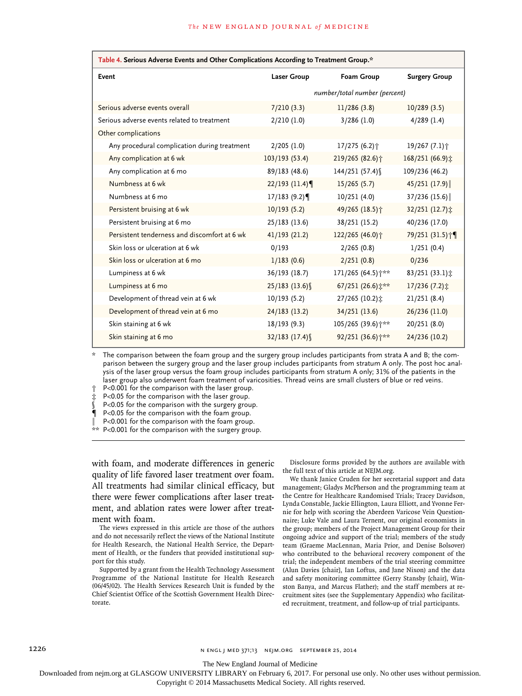| Table 4. Serious Adverse Events and Other Complications According to Treatment Group.* |                               |                                       |                            |  |  |  |
|----------------------------------------------------------------------------------------|-------------------------------|---------------------------------------|----------------------------|--|--|--|
| Event                                                                                  | <b>Laser Group</b>            | <b>Foam Group</b>                     | <b>Surgery Group</b>       |  |  |  |
|                                                                                        | number/total number (percent) |                                       |                            |  |  |  |
| Serious adverse events overall                                                         | 7/210(3.3)                    | 11/286(3.8)                           | 10/289(3.5)                |  |  |  |
| Serious adverse events related to treatment                                            | 2/210(1.0)                    | 3/286(1.0)                            | $4/289$ (1.4)              |  |  |  |
| Other complications                                                                    |                               |                                       |                            |  |  |  |
| Any procedural complication during treatment                                           | 2/205(1.0)                    | 17/275 (6.2) <sup>+</sup>             | 19/267 (7.1) $\dagger$     |  |  |  |
| Any complication at 6 wk                                                               | 103/193 (53.4)                | 219/265 (82.6) $\dagger$              | 168/251 (66.9):            |  |  |  |
| Any complication at 6 mo                                                               | 89/183 (48.6)                 | 144/251 (57.4) \                      | 109/236 (46.2)             |  |  |  |
| Numbness at 6 wk                                                                       | $22/193$ (11.4)               | 15/265(5.7)                           | $45/251$ (17.9)            |  |  |  |
| Numbness at 6 mo                                                                       | 17/183(9.2)                   | 10/251(4.0)                           | 37/236 (15.6)              |  |  |  |
| Persistent bruising at 6 wk                                                            | 10/193(5.2)                   | 49/265 (18.5) $\dagger$               | 32/251 (12.7) :            |  |  |  |
| Persistent bruising at 6 mo                                                            | 25/183 (13.6)                 | 38/251 (15.2)                         | 40/236 (17.0)              |  |  |  |
| Persistent tenderness and discomfort at 6 wk                                           | 41/193(21.2)                  | 122/265 (46.0) +                      | 79/251 (31.5) <sup>+</sup> |  |  |  |
| Skin loss or ulceration at 6 wk                                                        | 0/193                         | 2/265(0.8)                            | 1/251(0.4)                 |  |  |  |
| Skin loss or ulceration at 6 mo                                                        | 1/183(0.6)                    | 2/251(0.8)                            | 0/236                      |  |  |  |
| Lumpiness at 6 wk                                                                      | 36/193 (18.7)                 | 171/265 (64.5) ***                    | 83/251 (33.1) $\ddagger$   |  |  |  |
| Lumpiness at 6 mo                                                                      | 25/183 (13.6) §               | 67/251 (26.6) $\uparrow^{\star\star}$ | $17/236$ (7.2) $\ddagger$  |  |  |  |
| Development of thread vein at 6 wk                                                     | 10/193(5.2)                   | 27/265 (10.2) $\ddagger$              | 21/251(8.4)                |  |  |  |
| Development of thread vein at 6 mo                                                     | 24/183(13.2)                  | 34/251 (13.6)                         | 26/236 (11.0)              |  |  |  |
| Skin staining at 6 wk                                                                  | 18/193(9.3)                   | 105/265 (39.6) $\dagger$ **           | 20/251 (8.0)               |  |  |  |
| Skin staining at 6 mo                                                                  | 32/183 (17.4) §               | 92/251 (36.6) ***                     | 24/236 (10.2)              |  |  |  |

\* The comparison between the foam group and the surgery group includes participants from strata A and B; the comparison between the surgery group and the laser group includes participants from stratum A only. The post hoc analysis of the laser group versus the foam group includes participants from stratum A only; 31% of the patients in the laser group also underwent foam treatment of varicosities. Thread veins are small clusters of blue or red veins.

† P<0.001 for the comparison with the laser group.

‡ P<0.05 for the comparison with the laser group.

P<0.05 for the comparison with the surgery group.

¶ P<0.05 for the comparison with the foam group.

P<0.001 for the comparison with the foam group.

\*\* P<0.001 for the comparison with the surgery group.

with foam, and moderate differences in generic quality of life favored laser treatment over foam. All treatments had similar clinical efficacy, but there were fewer complications after laser treatment, and ablation rates were lower after treatment with foam.

The views expressed in this article are those of the authors and do not necessarily reflect the views of the National Institute for Health Research, the National Health Service, the Department of Health, or the funders that provided institutional support for this study.

Supported by a grant from the Health Technology Assessment Programme of the National Institute for Health Research (06/45/02). The Health Services Research Unit is funded by the Chief Scientist Office of the Scottish Government Health Directorate.

Disclosure forms provided by the authors are available with the full text of this article at NEJM.org.

We thank Janice Cruden for her secretarial support and data management; Gladys McPherson and the programming team at the Centre for Healthcare Randomised Trials; Tracey Davidson, Lynda Constable, Jackie Ellington, Laura Elliott, and Yvonne Fernie for help with scoring the Aberdeen Varicose Vein Questionnaire; Luke Vale and Laura Ternent, our original economists in the group; members of the Project Management Group for their ongoing advice and support of the trial; members of the study team (Graeme MacLennan, Maria Prior, and Denise Bolsover) who contributed to the behavioral recovery component of the trial; the independent members of the trial steering committee (Alun Davies [chair], Ian Loftus, and Jane Nixon) and the data and safety monitoring committee (Gerry Stansby [chair], Winston Banya, and Marcus Flather); and the staff members at recruitment sites (see the Supplementary Appendix) who facilitated recruitment, treatment, and follow-up of trial participants.

1226 **n engl j med 371;13** n engl j med 371;13 nejm.org September 25, 2014

The New England Journal of Medicine

Downloaded from nejm.org at GLASGOW UNIVERSITY LIBRARY on February 6, 2017. For personal use only. No other uses without permission.